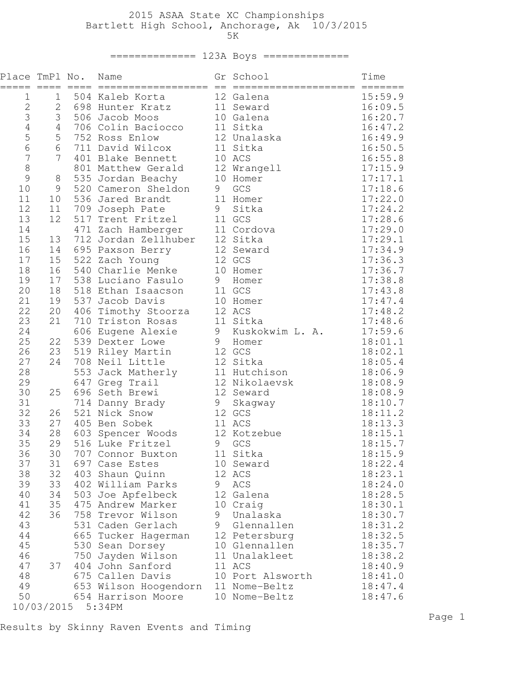# 2015 ASAA State XC Championships Bartlett High School, Anchorage, Ak 10/3/2015 5K

# ============== 123A Boys ==============

| Place TmPl No.<br>$===$ | $=$ $=$ $=$ $=$ | $=====$           | Name<br>==================           | $=$ | Gr School<br>===================== | Time<br>$=$ $=$ $=$ $=$ $=$ $=$ |
|-------------------------|-----------------|-------------------|--------------------------------------|-----|------------------------------------|---------------------------------|
| 1                       | 1               |                   | 504 Kaleb Korta                      |     | 12 Galena                          | 15:59.9                         |
| $\mathbf 2$             | $\mathbf{2}$    |                   | 698 Hunter Kratz                     |     | 11 Seward                          | 16:09.5                         |
| 3                       | 3               |                   | 506 Jacob Moos                       |     | 10 Galena                          | 16:20.7                         |
| $\overline{4}$          | $\sqrt{4}$      |                   | 706 Colin Baciocco                   |     | 11 Sitka                           | 16:47.2                         |
| 5                       | 5               |                   | 752 Ross Enlow                       |     | 12 Unalaska                        | 16:49.9                         |
| 6                       | 6               |                   | 711 David Wilcox                     |     | 11 Sitka                           | 16:50.5                         |
| $\overline{7}$          | 7               |                   | 401 Blake Bennett                    |     | 10 ACS                             | 16:55.8                         |
| 8                       |                 |                   | 801 Matthew Gerald                   |     | 12 Wrangell                        | 17:15.9                         |
| 9                       | 8               |                   | 535 Jordan Beachy                    |     | 10 Homer                           | 17:17.1                         |
| 10                      | $\mathsf 9$     |                   | 520 Cameron Sheldon                  | 9   | GCS                                | 17:18.6                         |
| 11                      | 10              | 536               | Jared Brandt                         |     | 11 Homer                           | 17:22.0                         |
| 12<br>13                | 11<br>12        |                   | 709 Joseph Pate<br>517 Trent Fritzel | 9   | Sitka<br>11 GCS                    | 17:24.2<br>17:28.6              |
| 14                      |                 |                   | 471 Zach Hamberger                   |     | 11 Cordova                         | 17:29.0                         |
| 15                      | 13              |                   | 712 Jordan Zellhuber                 |     | 12 Sitka                           | 17:29.1                         |
| 16                      | 14              |                   | 695 Paxson Berry                     |     | 12 Seward                          | 17:34.9                         |
| 17                      | 15              |                   | 522 Zach Young                       |     | 12 GCS                             | 17:36.3                         |
| 18                      | 16              |                   | 540 Charlie Menke                    |     | 10 Homer                           | 17:36.7                         |
| 19                      | 17              |                   | 538 Luciano Fasulo                   | 9   | Homer                              | 17:38.8                         |
| 20                      | 18              |                   | 518 Ethan Isaacson                   |     | 11 GCS                             | 17:43.8                         |
| 21                      | 19              |                   | 537 Jacob Davis                      |     | 10 Homer                           | 17:47.4                         |
| 22                      | 20              | 406               | Timothy Stoorza                      |     | 12 ACS                             | 17:48.2                         |
| 23                      | 21              |                   | 710 Triston Rosas                    |     | 11 Sitka                           | 17:48.6                         |
| 24                      |                 |                   | 606 Eugene Alexie                    |     | 9 Kuskokwim L. A.                  | 17:59.6                         |
| 25                      | 22              |                   | 539 Dexter Lowe                      |     | 9 Homer                            | 18:01.1                         |
| 26                      | 23              |                   | 519 Riley Martin                     |     | 12 GCS                             | 18:02.1                         |
| 27                      | 24              |                   | 708 Neil Little                      |     | 12 Sitka                           | 18:05.4                         |
| 28                      |                 | 553               | Jack Matherly                        |     | 11 Hutchison                       | 18:06.9                         |
| 29                      |                 |                   | 647 Greg Trail                       |     | 12 Nikolaevsk                      | 18:08.9                         |
| 30                      | 25              | 696               | Seth Brewi                           |     | 12 Seward                          | 18:08.9                         |
| 31                      |                 |                   | 714 Danny Brady                      | 9   | Skagway                            | 18:10.7                         |
| 32                      | 26              |                   | 521 Nick Snow                        |     | 12 GCS                             | 18:11.2                         |
| 33                      | 27              | 405               | Ben Sobek                            |     | 11 ACS                             | 18:13.3                         |
| 34                      | 28              | 603               | Spencer Woods                        |     | 12 Kotzebue                        | 18:15.1                         |
| 35                      | 29              |                   | 516 Luke Fritzel                     | 9   | GCS                                | 18:15.7                         |
| 36<br>37                | 30<br>31        |                   | 707 Connor Buxton<br>697 Case Estes  |     | 11 Sitka                           | 18:15.9<br>18:22.4              |
| 38                      | 32              |                   | 403 Shaun Quinn                      |     | 10 Seward<br>12 ACS                | 18:23.1                         |
| 39                      | 33              |                   | 402 William Parks                    | 9   | ACS                                | 18:24.0                         |
| 40                      | 34              |                   | 503 Joe Apfelbeck                    |     | 12 Galena                          | 18:28.5                         |
| 41                      | 35              |                   | 475 Andrew Marker                    |     | 10 Craig                           | 18:30.1                         |
| 42                      | 36              |                   | 758 Trevor Wilson                    | 9   | Unalaska                           | 18:30.7                         |
| 43                      |                 |                   | 531 Caden Gerlach                    | 9   | Glennallen                         | 18:31.2                         |
| 44                      |                 |                   | 665 Tucker Hagerman                  |     | 12 Petersburg                      | 18:32.5                         |
| 45                      |                 |                   | 530 Sean Dorsey                      |     | 10 Glennallen                      | 18:35.7                         |
| 46                      |                 |                   | 750 Jayden Wilson                    |     | 11 Unalakleet                      | 18:38.2                         |
| 47                      | 37              |                   | 404 John Sanford                     |     | 11 ACS                             | 18:40.9                         |
| 48                      |                 |                   | 675 Callen Davis                     |     | 10 Port Alsworth                   | 18:41.0                         |
| 49                      |                 |                   | 653 Wilson Hoogendorn                |     | 11 Nome-Beltz                      | 18:47.4                         |
| 50                      |                 |                   | 654 Harrison Moore                   |     | 10 Nome-Beltz                      | 18:47.6                         |
|                         |                 | 10/03/2015 5:34PM |                                      |     |                                    |                                 |

Results by Skinny Raven Events and Timing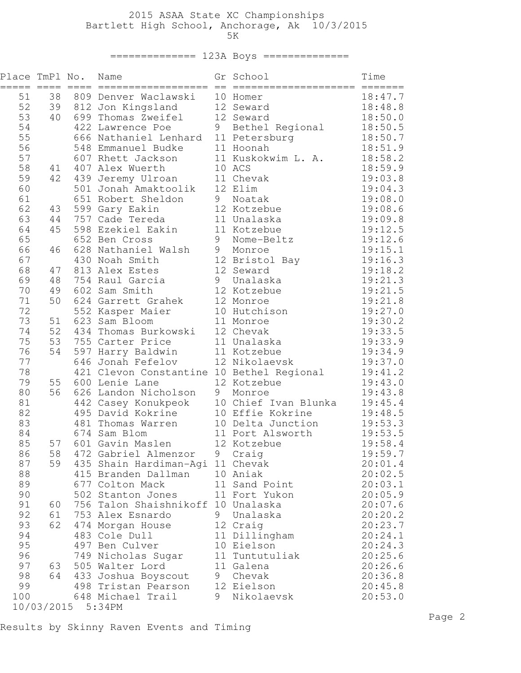# 2015 ASAA State XC Championships Bartlett High School, Anchorage, Ak 10/3/2015 5K

# ============== 123A Boys ==============

| Place TmPl No. |    |                   | Name                                                                                                                                                                                              |   | Gr School                                                                                                | Time               |
|----------------|----|-------------------|---------------------------------------------------------------------------------------------------------------------------------------------------------------------------------------------------|---|----------------------------------------------------------------------------------------------------------|--------------------|
| 51             | 38 |                   | 809 Denver Waclawski                                                                                                                                                                              |   | 10 Homer                                                                                                 | 18:47.7            |
| 52             | 39 |                   | 812 Jon Kingsland                                                                                                                                                                                 |   | 12 Seward                                                                                                | 18:48.8            |
| 53             | 40 |                   | 812 Jon Kingsianu<br>699 Thomas Zweifel<br>100 Iswrence Poe                                                                                                                                       |   | 12 Seward                                                                                                | 18:50.0            |
| 54             |    |                   |                                                                                                                                                                                                   |   | 422 Lawrence Poe<br>666 Nathaniel Lenhard 11 Petersburg<br>548 Emmanuel Budke 11 Hoonah                  | 18:50.5            |
| 55             |    |                   |                                                                                                                                                                                                   |   |                                                                                                          | 18:50.7            |
| 56             |    |                   |                                                                                                                                                                                                   |   |                                                                                                          | 18:51.9            |
| 57             |    |                   | 607 Rhett Jackson<br>407 Alex Wuerth                                                                                                                                                              |   | 11 Kuskokwim L. A.                                                                                       | 18:58.2            |
| 58             | 41 |                   | 439 Jeremy Ulroan                                                                                                                                                                                 |   | 10 ACS                                                                                                   | 18:59.9            |
| 59<br>60       | 42 |                   | 501 Jonah Amaktoolik                                                                                                                                                                              |   | 11 Chevak<br>12 Elim                                                                                     | 19:03.8<br>19:04.3 |
| 61             |    |                   |                                                                                                                                                                                                   |   | 9 Noatak                                                                                                 | 19:08.0            |
| 62             | 43 |                   | 651 Robert Sheldon<br>599 Gary Eakin<br>757 Cade Tereda                                                                                                                                           |   | 12 Kotzebue                                                                                              | 19:08.6            |
| 63             | 44 |                   |                                                                                                                                                                                                   |   | 11 Unalaska                                                                                              | 19:09.8            |
| 64             | 45 |                   | 598 Ezekiel Eakin                                                                                                                                                                                 |   | 11 Kotzebue                                                                                              | 19:12.5            |
| 65             |    |                   | 652 Ben Cross                                                                                                                                                                                     |   | 9 Nome-Beltz                                                                                             | 19:12.6            |
| 66             | 46 |                   | 652 Ben Cross<br>628 Nathaniel Walsh                                                                                                                                                              |   | 9 Monroe                                                                                                 | 19:15.1            |
| 67             |    |                   | 430 Noah Smith                                                                                                                                                                                    |   | 12 Bristol Bay                                                                                           | 19:16.3            |
| 68             | 47 |                   | 813 Alex Estes                                                                                                                                                                                    |   | 12 Seward                                                                                                | 19:18.2            |
| 69             | 48 |                   | 754 Raul Garcia                                                                                                                                                                                   |   | 9 Unalaska                                                                                               | 19:21.3            |
| 70             | 49 |                   | 602 Sam Smith                                                                                                                                                                                     |   | 12 Kotzebue                                                                                              | 19:21.5            |
| 71             | 50 |                   | 624 Garrett Grahek                                                                                                                                                                                |   | 12 Monroe                                                                                                | 19:21.8            |
| 72             |    |                   | 552 Kasper Maier<br>552 Kasper Maier<br>623 Sam Bloom                                                                                                                                             |   | 10 Hutchison                                                                                             | 19:27.0            |
| 73             | 51 |                   | 623 Sam Bloom                                                                                                                                                                                     |   | 11 Monroe                                                                                                | 19:30.2            |
| 74             | 52 |                   | 434 Thomas Burkowski                                                                                                                                                                              |   | 12 Chevak                                                                                                | 19:33.5            |
| 75             | 53 |                   | 755 Carter Price                                                                                                                                                                                  |   | 11 Unalaska                                                                                              | 19:33.9            |
| 76             | 54 |                   | 597 Harry Baldwin                                                                                                                                                                                 |   | 11 Kotzebue                                                                                              | 19:34.9            |
| 77             |    |                   | 646 Jonah Fefelov                                                                                                                                                                                 |   | 12 Nikolaevsk                                                                                            | 19:37.0            |
| 78             |    |                   |                                                                                                                                                                                                   |   |                                                                                                          | 19:41.2            |
| 79             | 55 |                   |                                                                                                                                                                                                   |   | 421 Clevon Constantine 10 Bethel Regional<br>600 Lenie Lane 12 Kotzebue<br>626 Landon Nicholson 9 Monroe | 19:43.0            |
| 80<br>81       | 56 |                   | And Musik and School of Musik and School of the 10 Chief Ivan Blunka<br>495 David Kokrine<br>481 Thomas Warren 10 Delta Junction<br>674 Sam Blom 11 Port Alsworth<br>601 Gavin Maslen 12 Kotzebue |   | 10 Chief Ivan Blunka                                                                                     | 19:43.8            |
| 82             |    |                   |                                                                                                                                                                                                   |   | 10 Effie Kokrine                                                                                         | 19:45.4<br>19:48.5 |
| 83             |    |                   |                                                                                                                                                                                                   |   |                                                                                                          | 19:53.3            |
| 84             |    |                   |                                                                                                                                                                                                   |   |                                                                                                          | 19:53.5            |
| 85             | 57 |                   |                                                                                                                                                                                                   |   |                                                                                                          | 19:58.4            |
| 86             | 58 |                   | 472 Gabriel Almenzor                                                                                                                                                                              | 9 | Craig                                                                                                    | 19:59.7            |
| 87             | 59 |                   | 435 Shain Hardiman-Agi 11 Chevak                                                                                                                                                                  |   |                                                                                                          | 20:01.4            |
| 88             |    |                   | 415 Branden Dallman                                                                                                                                                                               |   | 10 Aniak                                                                                                 | 20:02.5            |
| 89             |    |                   | 677 Colton Mack                                                                                                                                                                                   |   | 11 Sand Point                                                                                            | 20:03.1            |
| 90             |    |                   | 502 Stanton Jones                                                                                                                                                                                 |   | 11 Fort Yukon                                                                                            | 20:05.9            |
| 91             | 60 |                   | 756 Talon Shaishnikoff                                                                                                                                                                            |   | 10 Unalaska                                                                                              | 20:07.6            |
| 92             | 61 |                   | 753 Alex Esnardo                                                                                                                                                                                  | 9 | Unalaska                                                                                                 | 20:20.2            |
| 93             | 62 |                   | 474 Morgan House                                                                                                                                                                                  |   | 12 Craig                                                                                                 | 20:23.7            |
| 94             |    |                   | 483 Cole Dull                                                                                                                                                                                     |   | 11 Dillingham                                                                                            | 20:24.1            |
| 95             |    |                   | 497 Ben Culver                                                                                                                                                                                    |   | 10 Eielson                                                                                               | 20:24.3            |
| 96             |    |                   | 749 Nicholas Sugar                                                                                                                                                                                |   | 11 Tuntutuliak                                                                                           | 20:25.6            |
| 97             | 63 |                   | 505 Walter Lord                                                                                                                                                                                   |   | 11 Galena                                                                                                | 20:26.6            |
| 98             | 64 |                   | 433 Joshua Boyscout                                                                                                                                                                               | 9 | Chevak                                                                                                   | 20:36.8            |
| 99             |    |                   | 498 Tristan Pearson                                                                                                                                                                               |   | 12 Eielson                                                                                               | 20:45.8            |
| 100            |    |                   | 648 Michael Trail                                                                                                                                                                                 | 9 | Nikolaevsk                                                                                               | 20:53.0            |
|                |    | 10/03/2015 5:34PM |                                                                                                                                                                                                   |   |                                                                                                          |                    |

Results by Skinny Raven Events and Timing